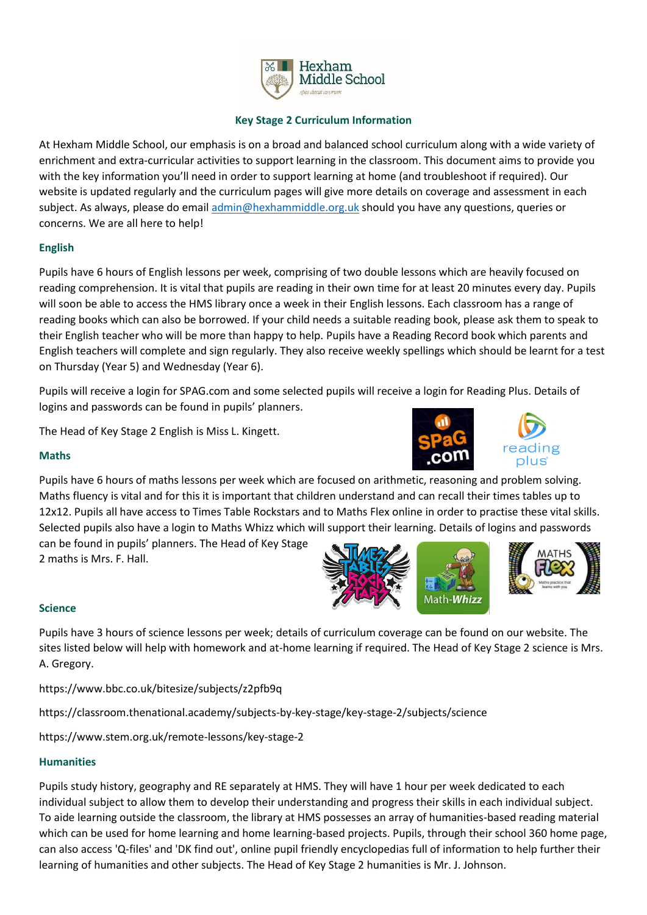

# **Key Stage 2 Curriculum Information**

At Hexham Middle School, our emphasis is on a broad and balanced school curriculum along with a wide variety of enrichment and extra-curricular activities to support learning in the classroom. This document aims to provide you with the key information you'll need in order to support learning at home (and troubleshoot if required). Our website is updated regularly and the curriculum pages will give more details on coverage and assessment in each subject. As always, please do emai[l admin@hexhammiddle.org.uk](mailto:admin@hexhammiddle.org.uk) should you have any questions, queries or concerns. We are all here to help!

# **English**

Pupils have 6 hours of English lessons per week, comprising of two double lessons which are heavily focused on reading comprehension. It is vital that pupils are reading in their own time for at least 20 minutes every day. Pupils will soon be able to access the HMS library once a week in their English lessons. Each classroom has a range of reading books which can also be borrowed. If your child needs a suitable reading book, please ask them to speak to their English teacher who will be more than happy to help. Pupils have a Reading Record book which parents and English teachers will complete and sign regularly. They also receive weekly spellings which should be learnt for a test on Thursday (Year 5) and Wednesday (Year 6).

Pupils will receive a login for SPAG.com and some selected pupils will receive a login for Reading Plus. Details of logins and passwords can be found in pupils' planners.

The Head of Key Stage 2 English is Miss L. Kingett.





### **Maths**

Pupils have 6 hours of maths lessons per week which are focused on arithmetic, reasoning and problem solving. Maths fluency is vital and for this it is important that children understand and can recall their times tables up to 12x12. Pupils all have access to Times Table Rockstars and to Maths Flex online in order to practise these vital skills. Selected pupils also have a login to Maths Whizz which will support their learning. Details of logins and passwords

can be found in pupils' planners. The Head of Key Stage 2 maths is Mrs. F. Hall.



### **Science**

Pupils have 3 hours of science lessons per week; details of curriculum coverage can be found on our website. The sites listed below will help with homework and at-home learning if required. The Head of Key Stage 2 science is Mrs. A. Gregory.

https://www.bbc.co.uk/bitesize/subjects/z2pfb9q

https://classroom.thenational.academy/subjects-by-key-stage/key-stage-2/subjects/science

https://www.stem.org.uk/remote-lessons/key-stage-2

# **Humanities**

Pupils study history, geography and RE separately at HMS. They will have 1 hour per week dedicated to each individual subject to allow them to develop their understanding and progress their skills in each individual subject. To aide learning outside the classroom, the library at HMS possesses an array of humanities-based reading material which can be used for home learning and home learning-based projects. Pupils, through their school 360 home page, can also access 'Q-files' and 'DK find out', online pupil friendly encyclopedias full of information to help further their learning of humanities and other subjects. The Head of Key Stage 2 humanities is Mr. J. Johnson.